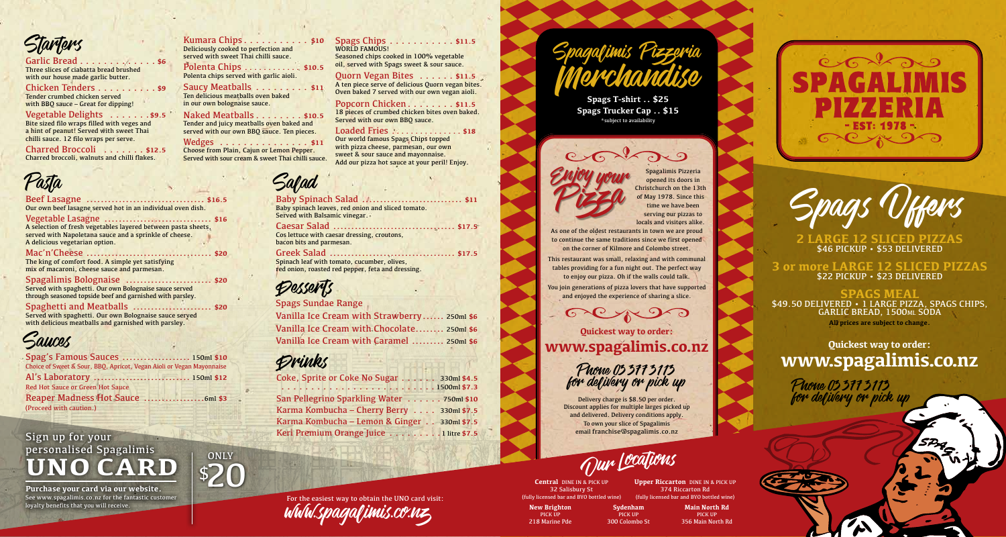*Starters* 

#### Garlic Bread . . . . . . . . . . . . . \$6 Three slices of ciabatta bread brushed with our house made garlic butter.

Chicken Tenders . . . . . . . . . . \$9 Tender crumbed chicken served with BBQ sauce – Great for dipping!

Vegetable Delights . . . . . . . \$9.5 Bite sized filo wraps filled with veges and a hint of peanut! Served with sweet Thai chilli sauce. 12 filo wraps per serve.

Charred Broccoli . . **\$12.5** Charred broccoli, walnuts and chilli flakes.

#### Beef Lasagne ................................. **\$16.5** Our own beef lasagne served hot in an individual oven dish.

Vegetable Lasagne .............................. **\$16** A selection of fresh vegetables layered between pasta sheets, served with Napoletana sauce and a sprinkle of cheese. A delicious vegetarian option.

#### Mac'n'Cheese ................................... **\$20**

The king of comfort food. A simple yet satisfying mix of macaroni, cheese sauce and parmesan.

Spagalimis Bolognaise ........................ **\$20** Served with spaghetti. Our own Bolognaise sauce served

through seasoned topside beef and garnished with parsley.

Spaghetti and Meatballs ...................... **\$20** Served with spaghetti. Our own Bolognaise sauce served with delicious meatballs and garnished with parsley.



Spag's Famous Sauces ................... 150ml **\$10** Choice of Sweet & Sour, BBQ, Apricot, Vegan Aioli or Vegan Mayonnaise Al's Laboratory ........................... 150ml **\$12** Red Hot Sauce or Green Hot Sauce Reaper Madness Hot Sauce .................6ml **\$3** (Proceed with caution.)

#### Sign up for your personalised Spagalimis **UNO CARD**

**Purchase your card via our website.** See www.spagalimis.co.nz for the fantastic customer loyalty benefits that you will receive.

Kumara Chips. . . . . . . . . . . \$10 Deliciously cooked to perfection and served with sweet Thai chilli sauce.

Polenta Chips . . . . . . . . . . . \$10.5 Polenta chips served with garlic aioli.

Saucy Meatballs . . . . . . . . . \$11 Ten delicious meatballs oven baked in our own bolognaise sauce.

#### Naked Meatballs. . . . . . . . \$10.5

\$20

**ONLY** 

Tender and juicy meatballs oven baked and served with our own BBO sauce. Ten pieces.

Wedges . . . . . . . . . . . . . . . \$11 Choose from Plain, Cajun or Lemon Pepper. Served with sour cream & sweet Thai chilli sauce.

#### Spags Chips . . . . . . . . . . . \$11.5 WORLD FAMOUS! Seasoned chips cooked in 100% vegetable oil, served with Spags sweet & sour sauce.

**Ouorn Vegan Bites...... \$11.5** A ten piece serve of delicious Quorn vegan bites. Oven baked 7 served with our own vegan aioli.

Popcorn Chicken. . . . . . . . \$11.5 18 pieces of crumbed chicken bites oven baked. Served with our own BBO sauce.

#### Loaded Fries . . . . . . . . . . . . . . \$18

Our world famous Spags Chips topped with pizza cheese, parmesan, our own sweet & sour sauce and mayonnaise. Add our pizza hot sauce at your peril! Enjoy.

### Pasta Salad

Baby Spinach Salad ............................ **\$11** Baby spinach leaves, red onion and sliced tomato. Served with Balsamic vinegar.

Caesar Salad .................................. **\$17.5** Cos lettuce with caesar dressing, croutons, bacon bits and parmesan.

Greek Salad ................................... **\$17.5** Spinach leaf with tomato, cucumber, olives, red onion, roasted red pepper, feta and dressing.

### Desserts

Spags Sundae Range Vanilla Ice Cream with Strawberry...... 250ml **\$6**

Vanilla Ice Cream with Chocolate........ 250ml **\$6** Vanilla Ice Cream with Caramel ......... 250ml **\$6**

#### Drinks

Coke, Sprite or Coke No Sugar . . . . . . 330ml \$4.5 . 1500ml **\$7.3** San Pellegrino Sparkling Water. . . 750ml **\$10** Karma Kombucha – Cherry Berry. . . 330ml **\$7.5** Karma Kombucha – Lemon & Ginger. . . 330ml **\$7.5** Keri Premium Orange Juice . . . . . . . . . 1 litre \$7.5



Spagalimis Pizzeria

Spags T-shirt .. \$25 **Spags Trucker Cap .. \$15** \*subject to availability

Spagalimis Pizzeria opened its doors in Christchurch on the 13th of May 1978. Since this time we have been serving our pizzas to locals and visitors alike. As one of the oldest restaurants in town we are proud to continue the same traditions since we first opened on the corner of Kilmore and Colombo street. This restaurant was small, relaxing and with communal Enjoy your

tables providing for a fun night out. The perfect way to enjoy our pizza. Oh if the walls could talk.

You join generations of pizza lovers that have supported and enjoyed the experience of sharing a slice.

**Quickest way to order: www.spagalimis.co.nz**

#### Phone 033773113 for defivery or pick up Phone 033773113

Delivery charge is \$8.50 per order. Discount applies for multiple larges picked up and delivered. Delivery conditions apply. To own your slice of Spagalimis email franchise@spagalimis.co.nz

Our Cations

**Central** DINE IN & PICK UP 32 Salisbury St

218 Marine Pde

(fully licensed bar and BYO bottled wine) **New Brighton** PICK UP

**Sydenham** PICK UP 300 Colombo St **Main North Rd** 356 Main North Rd

**Upper Riccarton** DINE IN & PICK UP 374 Riccarton Rd (fully licensed bar and BYO bottled wine)

PICK UP





**2 LARGE 12 SLICED PIZZAS** \$46 PICKUP • \$53 DELIVERED

**3 or more LARGE 12 SLICED PIZZAS** \$22 PICKUP • \$23 DELIVERED

**SPAGS MEAL** \$49.50 DELIVERED • 1 LARGE PIZZA, SPAGS CHIPS, GARLIC BREAD, 1500ml SODA **All prices are subject to change.**

**Quickest way to order: www.spagalimis.co.nz**

for delivery or pick up